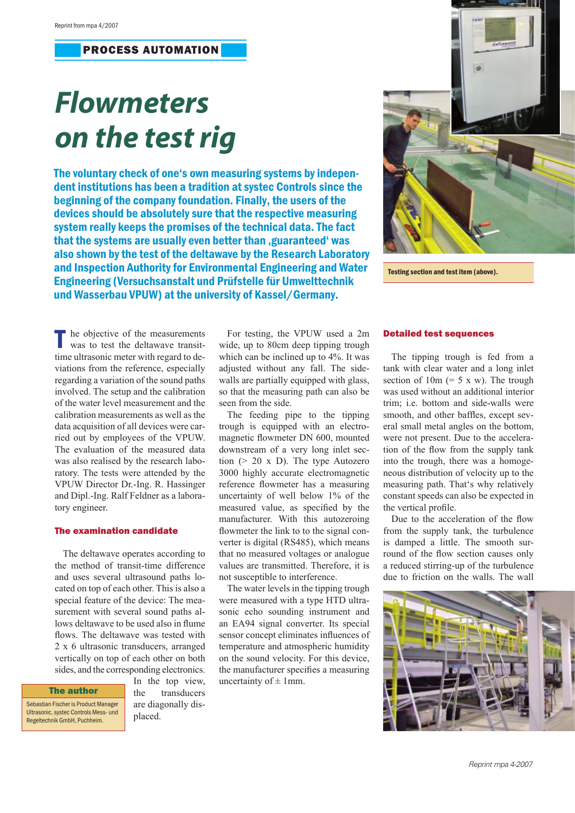## PROCESS AUTOMATION

# *Flowmeters on the test rig*

The voluntary check of one's own measuring systems by independent institutions has been a tradition at systec Controls since the beginning of the company foundation. Finally, the users of the devices should be absolutely sure that the respective measuring system really keeps the promises of the technical data. The fact that the systems are usually even better than . guaranteed 'was also shown by the test of the deltawave by the Research Laboratory and Inspection Authority for Environmental Engineering and Water Engineering (Versuchsanstalt und Prüfstelle für Umwelttechnik und Wasserbau VPUW) at the university of Kassel/Germany.



Testing section and test item (above).

he objective of the measurements was to test the deltawave transittime ultrasonic meter with regard to deviations from the reference, especially regarding a variation of the sound paths involved. The setup and the calibration of the water level measurement and the calibration measurements as well as the data acquisition of all devices were carried out by employees of the VPUW. The evaluation of the measured data was also realised by the research laboratory. The tests were attended by the VPUW Director Dr.-Ing. R. Hassinger and Dipl.-Ing. Ralf Feldner as a laboratory engineer.

### The examination candidate

The deltawave operates according to the method of transit-time difference and uses several ultrasound paths located on top of each other. This is also a special feature of the device: The measurement with several sound paths allows deltawave to be used also in flume flows. The deltawave was tested with 2 x 6 ultrasonic transducers, arranged vertically on top of each other on both sides, and the corresponding electronics.

#### The author

Sebastian Fischer is Product Manager Ultrasonic, systec Controls Mess- und Regeltechnik GmbH, Puchheim.

In the top view, the transducers are diagonally displaced.

For testing, the VPUW used a 2m wide, up to 80cm deep tipping trough which can be inclined up to 4%. It was adjusted without any fall. The sidewalls are partially equipped with glass, so that the measuring path can also be seen from the side.

The feeding pipe to the tipping trough is equipped with an electromagnetic flowmeter DN 600, mounted downstream of a very long inlet section  $(> 20 \times D)$ . The type Autozero 3000 highly accurate electromagnetic reference flowmeter has a measuring uncertainty of well below 1% of the measured value, as specified by the manufacturer. With this autozeroing flowmeter the link to to the signal converter is digital (RS485), which means that no measured voltages or analogue values are transmitted. Therefore, it is not susceptible to interference.

The water levels in the tipping trough were measured with a type HTD ultrasonic echo sounding instrument and an EA94 signal converter. Its special sensor concept eliminates influences of temperature and atmospheric humidity on the sound velocity. For this device, the manufacturer specifies a measuring uncertainty of  $\pm$  1mm.

#### Detailed test sequences

The tipping trough is fed from a tank with clear water and a long inlet section of  $10m (= 5 x w)$ . The trough was used without an additional interior trim; i.e. bottom and side-walls were smooth, and other baffles, except several small metal angles on the bottom, were not present. Due to the acceleration of the flow from the supply tank into the trough, there was a homogeneous distribution of velocity up to the measuring path. That's why relatively constant speeds can also be expected in the vertical profile.

Due to the acceleration of the flow from the supply tank, the turbulence is damped a little. The smooth surround of the flow section causes only a reduced stirring-up of the turbulence due to friction on the walls. The wall